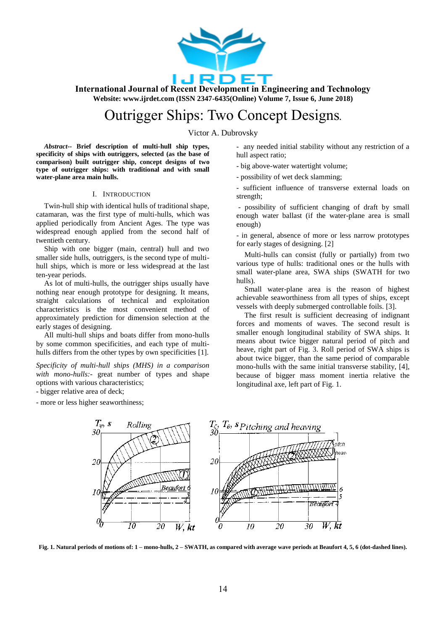

# Outrigger Ships: Two Concept Designs**.**

Victor A. Dubrovsky

*Abstract--* **Brief description of multi-hull ship types, specificity of ships with outriggers, selected (as the base of comparison) built outrigger ship, concept designs of two type of outrigger ships: with traditional and with small water-plane area main hulls.**

## I. INTRODUCTION

Twin-hull ship with identical hulls of traditional shape, catamaran, was the first type of multi-hulls, which was applied periodically from Ancient Ages. The type was widespread enough applied from the second half of twentieth century.

Ship with one bigger (main, central) hull and two smaller side hulls, outriggers, is the second type of multihull ships, which is more or less widespread at the last ten-year periods.

As lot of multi-hulls, the outrigger ships usually have nothing near enough prototype for designing. It means, straight calculations of technical and exploitation characteristics is the most convenient method of approximately prediction for dimension selection at the early stages of designing.

All multi-hull ships and boats differ from mono-hulls by some common specificities, and each type of multihulls differs from the other types by own specificities [1].

*Specificity of multi-hull ships (MHS) in a comparison with mono-hulls:-* great number of types and shape options with various characteristics;

- bigger relative area of deck;

- more or less higher seaworthiness;

- any needed initial stability without any restriction of a hull aspect ratio;

- big above-water watertight volume;

- possibility of wet deck slamming;

- sufficient influence of transverse external loads on strength;

- possibility of sufficient changing of draft by small enough water ballast (if the water-plane area is small enough)

- in general, absence of more or less narrow prototypes for early stages of designing. [2]

Multi-hulls can consist (fully or partially) from two various type of hulls: traditional ones or the hulls with small water-plane area, SWA ships (SWATH for two hulls).

Small water-plane area is the reason of highest achievable seaworthiness from all types of ships, except vessels with deeply submerged controllable foils. [3].

The first result is sufficient decreasing of indignant forces and moments of waves. The second result is smaller enough longitudinal stability of SWA ships. It means about twice bigger natural period of pitch and heave, right part of Fig. 3. Roll period of SWA ships is about twice bigger, than the same period of comparable mono-hulls with the same initial transverse stability, [4], because of bigger mass moment inertia relative the longitudinal axe, left part of Fig. 1.



**Fig. 1. Natural periods of motions of: 1 – mono-hulls, 2 – SWATH, as compared with average wave periods at Beaufort 4, 5, 6 (dot-dashed lines).**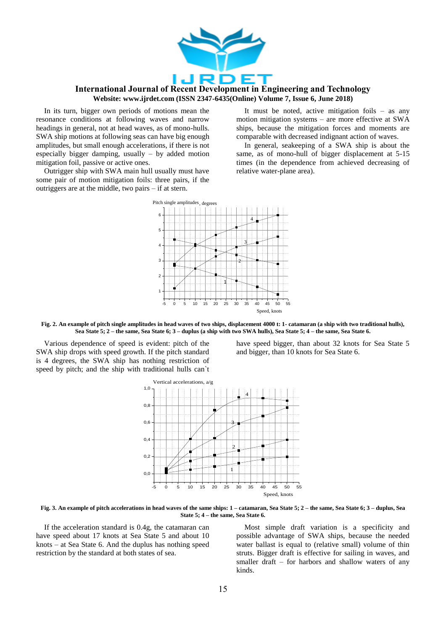

In its turn, bigger own periods of motions mean the resonance conditions at following waves and narrow headings in general, not at head waves, as of mono-hulls. SWA ship motions at following seas can have big enough amplitudes, but small enough accelerations, if there is not especially bigger damping, usually – by added motion mitigation foil, passive or active ones.

Outrigger ship with SWA main hull usually must have some pair of motion mitigation foils: three pairs, if the outriggers are at the middle, two pairs – if at stern.

It must be noted, active mitigation foils – as any motion mitigation systems – are more effective at SWA ships, because the mitigation forces and moments are comparable with decreased indignant action of waves.

In general, seakeeping of a SWA ship is about the same, as of mono-hull of bigger displacement at 5-15 times (in the dependence from achieved decreasing of relative water-plane area).



**Fig. 2. An example of pitch single amplitudes in head waves of two ships, displacement 4000 t: 1- catamaran (a ship with two traditional hulls), Sea State 5; 2 – the same, Sea State 6; 3 – duplus (a ship with two SWA hulls), Sea State 5; 4 – the same, Sea State 6.** 

Various dependence of speed is evident: pitch of the SWA ship drops with speed growth. If the pitch standard is 4 degrees, the SWA ship has nothing restriction of speed by pitch; and the ship with traditional hulls can`t

have speed bigger, than about 32 knots for Sea State 5 and bigger, than 10 knots for Sea State 6.



**Fig. 3. An example of pitch accelerations in head waves of the same ships: 1 – catamaran, Sea State 5; 2 – the same, Sea State 6; 3 – duplus, Sea State 5; 4 – the same, Sea State 6.**

If the acceleration standard is 0.4g, the catamaran can have speed about 17 knots at Sea State 5 and about 10 knots – at Sea State 6. And the duplus has nothing speed restriction by the standard at both states of sea.

Most simple draft variation is a specificity and possible advantage of SWA ships, because the needed water ballast is equal to (relative small) volume of thin struts. Bigger draft is effective for sailing in waves, and smaller draft – for harbors and shallow waters of any kinds.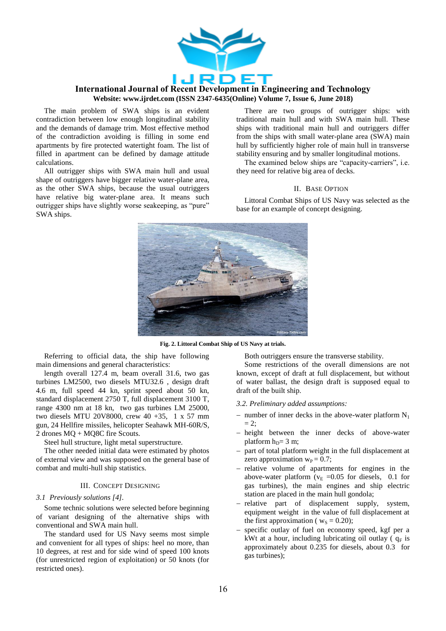

The main problem of SWA ships is an evident contradiction between low enough longitudinal stability and the demands of damage trim. Most effective method of the contradiction avoiding is filling in some end apartments by fire protected watertight foam. The list of filled in apartment can be defined by damage attitude calculations.

All outrigger ships with SWA main hull and usual shape of outriggers have bigger relative water-plane area, as the other SWA ships, because the usual outriggers have relative big water-plane area. It means such outrigger ships have slightly worse seakeeping, as "pure" SWA ships.

There are two groups of outrigger ships: with traditional main hull and with SWA main hull. These ships with traditional main hull and outriggers differ from the ships with small water-plane area (SWA) main hull by sufficiently higher role of main hull in transverse stability ensuring and by smaller longitudinal motions.

The examined below ships are "capacity-carriers", i.e. they need for relative big area of decks.

### II. BASE OPTION

Littoral Combat Ships of US Navy was selected as the base for an example of concept designing.



**Fig. 2. Littoral Combat Ship of US Navy at trials.**

Referring to official data, the ship have following main dimensions and general characteristics:

length overall 127.4 m, beam overall 31.6, two gas turbines LM2500, two diesels MTU32.6 , design draft 4.6 m, full speed 44 kn, sprint speed about 50 kn, standard displacement 2750 T, full displacement 3100 T, range 4300 nm at 18 kn, two gas turbines LM 25000, two diesels MTU 20V8000, crew 40 +35, 1 x 57 mm gun, 24 Hellfire missiles, helicopter Seahawk MH-60R/S, 2 drones MQ + MQ8C fire Scouts.

Steel hull structure, light metal superstructure.

The other needed initial data were estimated by photos of external view and was supposed on the general base of combat and multi-hull ship statistics.

#### III. CONCEPT DESIGNING

### *3.1 Previously solutions [4].*

Some technic solutions were selected before beginning of variant designing of the alternative ships with conventional and SWA main hull.

The standard used for US Navy seems most simple and convenient for all types of ships: heel no more, than 10 degrees, at rest and for side wind of speed 100 knots (for unrestricted region of exploitation) or 50 knots (for restricted ones).

Both outriggers ensure the transverse stability.

Some restrictions of the overall dimensions are not known, except of draft at full displacement, but without of water ballast, the design draft is supposed equal to draft of the built ship.

*3.2. Preliminary added assumptions:*

- number of inner decks in the above-water platform  $N_1$  $= 2$ :
- height between the inner decks of above-water platform  $h_D = 3$  m;
- part of total platform weight in the full displacement at zero approximation  $w_p = 0.7$ ;
- relative volume of apartments for engines in the above-water platform  $(v_E = 0.05$  for diesels, 0.1 for gas turbines), the main engines and ship electric station are placed in the main hull gondola;
- relative part of displacement supply, system, equipment weight in the value of full displacement at the first approximation ( $w_s = 0.20$ );
- specific outlay of fuel on economy speed, kgf per a kWt at a hour, including lubricating oil outlay  $(a_F)$  is approximately about 0.235 for diesels, about 0.3 for gas turbines);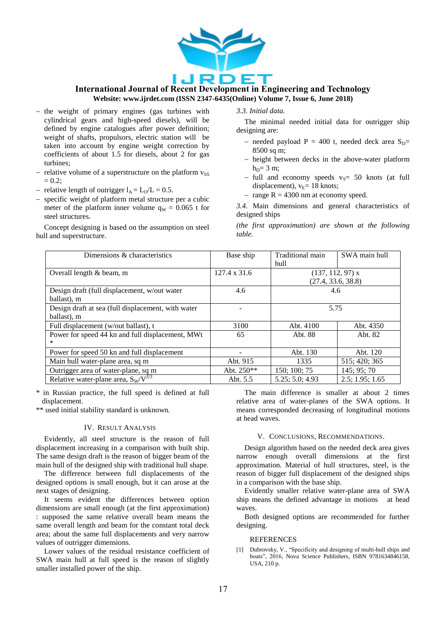

- $-$  the weight of primary engines (gas turbines with cylindrical gears and high-speed diesels), will be defined by engine catalogues after power definition; weight of shafts, propulsors, electric station will be taken into account by engine weight correction by coefficients of about 1.5 for diesels, about 2 for gas turbines;
- relative volume of a superstructure on the platform  $v_{SS}$  $= 0.2$ ;
- relative length of outrigger  $l_A = L_O/L = 0.5$ .
- specific weight of platform metal structure per a cubic meter of the platform inner volume  $q_W = 0.065$  t for steel structures.

Concept designing is based on the assumption on steel hull and superstructure.

*3.3. Initial data.*

The minimal needed initial data for outrigger ship designing are:

- needed payload  $P = 400$  t, needed deck area  $S_D$ = 8500 sq m;
- height between decks in the above-water platform  $h_D = 3$  m;
- full and economy speeds  $v_s$ = 50 knots (at full displacement),  $v_E$ = 18 knots;
- range  $R = 4300$  nm at economy speed.
- *3.4.* Main dimensions and general characteristics of designed ships

*(the first approximation) are shown at the following table.*

| Dimensions & characteristics                       | Base ship           | Traditional main   | SWA main hull   |
|----------------------------------------------------|---------------------|--------------------|-----------------|
|                                                    |                     | hull               |                 |
| Overall length $\&$ beam, m                        | $127.4 \times 31.6$ | $(137, 112, 97)$ x |                 |
|                                                    |                     | (27.4, 33.6, 38.8) |                 |
| Design draft (full displacement, w/out water       | 4.6                 | 4.6                |                 |
| ballast), m                                        |                     |                    |                 |
| Design draft at sea (full displacement, with water |                     | 5.75               |                 |
| ballast), m                                        |                     |                    |                 |
| Full displacement (w/out ballast), t               | 3100                | Abt. 4100          | Abt. 4350       |
| Power for speed 44 kn and full displacement, MWt   | 65                  | Abt. 88            | Abt. 82         |
| $\ast$                                             |                     |                    |                 |
| Power for speed 50 kn and full displacement        |                     | Abt. 130           | Abt. 120        |
| Main hull water-plane area, sq m                   | Abt. 915            | 1335               | 515; 420; 365   |
| Outrigger area of water-plane, sq m                | Abt. $250**$        | 150; 100; 75       | 145; 95; 70     |
| Relative water-plane area, $S_W/V^{2/3}$           | Abt. 5.5            | 5.25:5.0:4.93      | 2.5; 1.95; 1.65 |

\* in Russian practice, the full speed is defined at full displacement.

\*\* used initial stability standard is unknown.

#### IV. RESULT ANALYSIS

Evidently, all steel structure is the reason of full displacement increasing in a comparison with built ship. The same design draft is the reason of bigger beam of the main hull of the designed ship with traditional hull shape.

The difference between full displacements of the designed options is small enough, but it can arose at the next stages of designing.

It seems evident the differences between option dimensions are small enough (at the first approximation) : supposed the same relative overall beam means the same overall length and beam for the constant total deck area; about the same full displacements and very narrow values of outrigger dimensions.

Lower values of the residual resistance coefficient of SWA main hull at full speed is the reason of slightly smaller installed power of the ship.

The main difference is smaller at about 2 times relative area of water-planes of the SWA options. It means corresponded decreasing of longitudinal motions at head waves.

#### V. CONCLUSIONS, RECOMMENDATIONS.

Design algorithm based on the needed deck area gives narrow enough overall dimensions at the first approximation. Material of hull structures, steel, is the reason of bigger full displacement of the designed ships in a comparison with the base ship.

Evidently smaller relative water-plane area of SWA ship means the defined advantage in motions at head waves.

Both designed options are recommended for further designing.

#### **REFERENCES**

[1] Dubrovsky, V., "Specificity and designing of multi-hull ships and boats", 2016, Nova Science Publishers, ISBN 9781634846158, USA, 210 p.